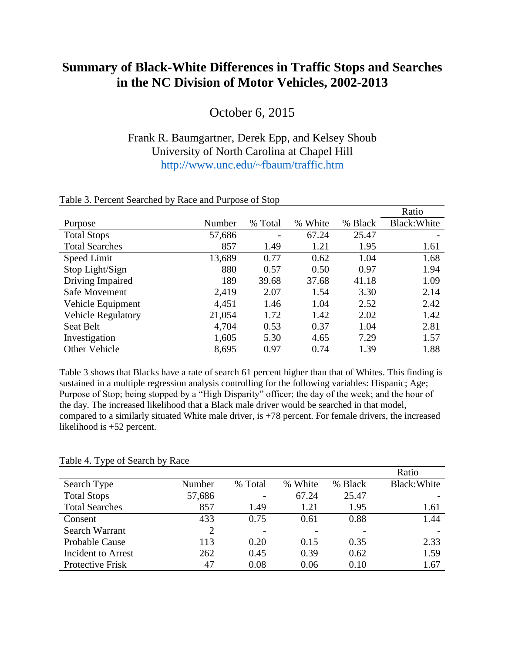## **Summary of Black-White Differences in Traffic Stops and Searches in the NC Division of Motor Vehicles, 2002-2013**

October 6, 2015

## Frank R. Baumgartner, Derek Epp, and Kelsey Shoub University of North Carolina at Chapel Hill <http://www.unc.edu/~fbaum/traffic.htm>

|                           |        |         |         |         | Ratio        |
|---------------------------|--------|---------|---------|---------|--------------|
| Purpose                   | Number | % Total | % White | % Black | Black: White |
| <b>Total Stops</b>        | 57,686 | -       | 67.24   | 25.47   |              |
| <b>Total Searches</b>     | 857    | 1.49    | 1.21    | 1.95    | 1.61         |
| Speed Limit               | 13,689 | 0.77    | 0.62    | 1.04    | 1.68         |
| Stop Light/Sign           | 880    | 0.57    | 0.50    | 0.97    | 1.94         |
| Driving Impaired          | 189    | 39.68   | 37.68   | 41.18   | 1.09         |
| Safe Movement             | 2,419  | 2.07    | 1.54    | 3.30    | 2.14         |
| Vehicle Equipment         | 4,451  | 1.46    | 1.04    | 2.52    | 2.42         |
| <b>Vehicle Regulatory</b> | 21,054 | 1.72    | 1.42    | 2.02    | 1.42         |
| <b>Seat Belt</b>          | 4,704  | 0.53    | 0.37    | 1.04    | 2.81         |
| Investigation             | 1,605  | 5.30    | 4.65    | 7.29    | 1.57         |
| <b>Other Vehicle</b>      | 8,695  | 0.97    | 0.74    | 1.39    | 1.88         |

## Table 3. Percent Searched by Race and Purpose of Stop

Table 3 shows that Blacks have a rate of search 61 percent higher than that of Whites. This finding is sustained in a multiple regression analysis controlling for the following variables: Hispanic; Age; Purpose of Stop; being stopped by a "High Disparity" officer; the day of the week; and the hour of the day. The increased likelihood that a Black male driver would be searched in that model, compared to a similarly situated White male driver, is +78 percent. For female drivers, the increased likelihood is +52 percent.

| . .                       |        |         |         |         | Ratio        |
|---------------------------|--------|---------|---------|---------|--------------|
| Search Type               | Number | % Total | % White | % Black | Black: White |
| <b>Total Stops</b>        | 57,686 |         | 67.24   | 25.47   |              |
| <b>Total Searches</b>     | 857    | 1.49    | 1.21    | 1.95    | 1.61         |
| Consent                   | 433    | 0.75    | 0.61    | 0.88    | 1.44         |
| Search Warrant            | 2      |         |         |         |              |
| <b>Probable Cause</b>     | 113    | 0.20    | 0.15    | 0.35    | 2.33         |
| <b>Incident to Arrest</b> | 262    | 0.45    | 0.39    | 0.62    | 1.59         |
| Protective Frisk          | 47     | 0.08    | 0.06    | 0.10    | 1.67         |

## Table 4. Type of Search by Race